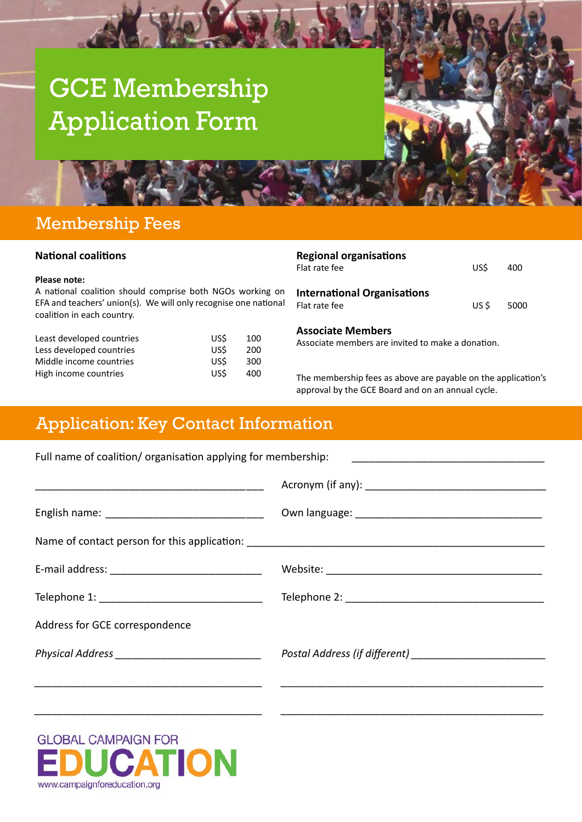# GCE Membership Application Form

## Membership Fees

#### **National coalitions**

#### **Please note:**

A national coalition should comprise both NGOs working on EFA and teachers' union(s). We will only recognise one national coalition in each country.

| Least developed countries | <b>USS</b> | 100 |
|---------------------------|------------|-----|
| Less developed countries  | US\$       | 200 |
| Middle income countries   | US\$       | 300 |
| High income countries     | US\$       | 400 |

| <b>Regional organisations</b><br>Flat rate fee      | US\$ | 400        |
|-----------------------------------------------------|------|------------|
| <b>International Organisations</b><br>Flat rate fee |      | $USS$ 5000 |
| <b>Associate Members</b>                            |      |            |

Associate members are invited to make a donation.

The membership fees as above are payable on the application's approval by the GCE Board and on an annual cycle.

## Application: Key Contact Information

| Full name of coalition/organisation applying for membership: |  |
|--------------------------------------------------------------|--|
|                                                              |  |
|                                                              |  |
|                                                              |  |
|                                                              |  |
|                                                              |  |
| Address for GCE correspondence                               |  |
| Physical Address _______________________________             |  |
|                                                              |  |
|                                                              |  |

**GLOBAL CAMPAIGN FOR TION**  $\Delta$ www.campaignforeducation.org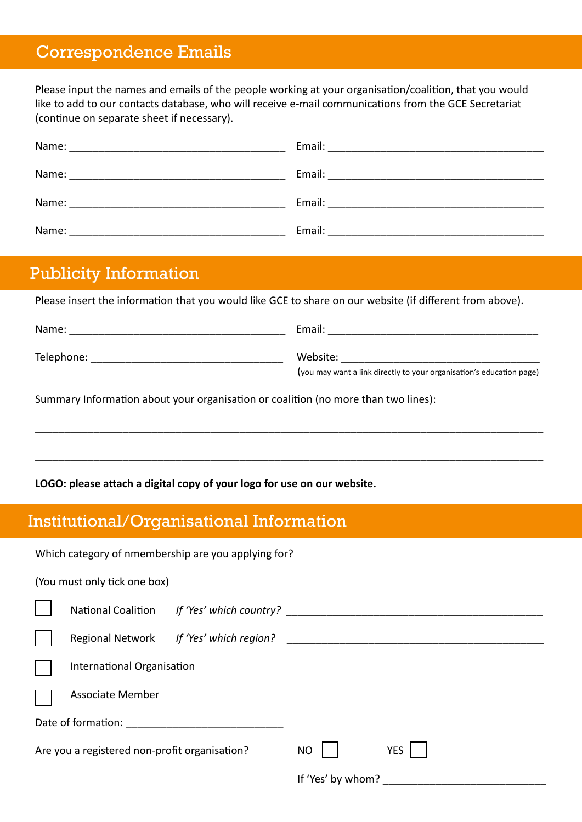## Correspondence Emails

Please input the names and emails of the people working at your organisation/coalition, that you would like to add to our contacts database, who will receive e-mail communications from the GCE Secretariat (continue on separate sheet if necessary).

| Name: | Email:                                                                                               |
|-------|------------------------------------------------------------------------------------------------------|
|       |                                                                                                      |
| Name: | Email: 2008. 2009. 2009. 2010. 2010. 2010. 2010. 2011. 2012. 2013. 2014. 2015. 2016. 2017. 2018. 201 |
| Name: | Email:                                                                                               |
|       |                                                                                                      |
| Name: | Email:                                                                                               |

## Publicity Information

Please insert the information that you would like GCE to share on our website (if different from above).

| Name:      | Email:                                                               |
|------------|----------------------------------------------------------------------|
| Telephone: | Website:                                                             |
|            | (you may want a link directly to your organisation's education page) |

\_\_\_\_\_\_\_\_\_\_\_\_\_\_\_\_\_\_\_\_\_\_\_\_\_\_\_\_\_\_\_\_\_\_\_\_\_\_\_\_\_\_\_\_\_\_\_\_\_\_\_\_\_\_\_\_\_\_\_\_\_\_\_\_\_\_\_\_\_\_\_\_\_\_\_\_\_\_\_\_\_\_\_\_\_\_\_

\_\_\_\_\_\_\_\_\_\_\_\_\_\_\_\_\_\_\_\_\_\_\_\_\_\_\_\_\_\_\_\_\_\_\_\_\_\_\_\_\_\_\_\_\_\_\_\_\_\_\_\_\_\_\_\_\_\_\_\_\_\_\_\_\_\_\_\_\_\_\_\_\_\_\_\_\_\_\_\_\_\_\_\_\_\_\_

Summary Information about your organisation or coalition (no more than two lines):

#### **LOGO: please attach a digital copy of your logo for use on our website.**

# Institutional/Organisational Information

| Which category of nmembership are you applying for? |                                                           |                                            |                   |  |  |
|-----------------------------------------------------|-----------------------------------------------------------|--------------------------------------------|-------------------|--|--|
|                                                     | (You must only tick one box)                              |                                            |                   |  |  |
|                                                     |                                                           | National Coalition If 'Yes' which country? |                   |  |  |
|                                                     |                                                           | Regional Network If 'Yes' which region?    |                   |  |  |
|                                                     | International Organisation                                |                                            |                   |  |  |
|                                                     | <b>Associate Member</b>                                   |                                            |                   |  |  |
|                                                     | Date of formation:<br><u> 1980 - Jan Barbarat, manala</u> |                                            |                   |  |  |
| Are you a registered non-profit organisation?       |                                                           | <b>NO</b>                                  | <b>YES</b>        |  |  |
|                                                     |                                                           |                                            | If 'Yes' by whom? |  |  |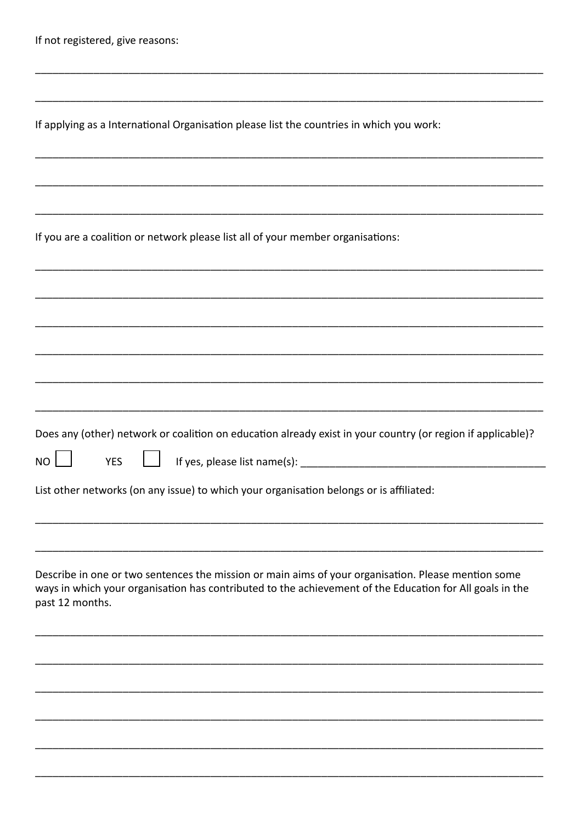|  |  |  |  |  | If not registered, give reasons: |
|--|--|--|--|--|----------------------------------|
|--|--|--|--|--|----------------------------------|

|  |  |  | If applying as a International Organisation please list the countries in which you work: |  |
|--|--|--|------------------------------------------------------------------------------------------|--|
|  |  |  |                                                                                          |  |

If you are a coalition or network please list all of your member organisations:

Does any (other) network or coalition on education already exist in your country (or region if applicable)?

**YFS** 

If yes, please list name(s):

List other networks (on any issue) to which your organisation belongs or is affiliated:

Describe in one or two sentences the mission or main aims of your organisation. Please mention some ways in which your organisation has contributed to the achievement of the Education for All goals in the past 12 months.